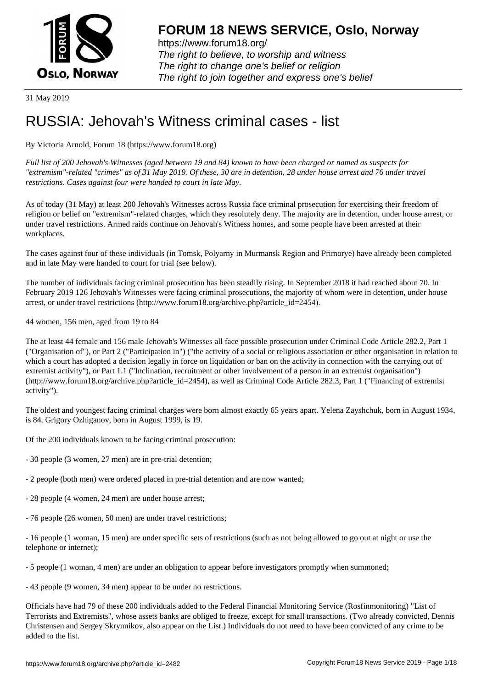

https://www.forum18.org/ The right to believe, to worship and witness The right to change one's belief or religion [The right to join together a](https://www.forum18.org/)nd express one's belief

31 May 2019

# [RUSSIA: Jehov](https://www.forum18.org)ah's Witness criminal cases - list

By Victoria Arnold, Forum 18 (https://www.forum18.org)

*Full list of 200 Jehovah's Witnesses (aged between 19 and 84) known to have been charged or named as suspects for "extremism"-related "crimes" as of 31 May 2019. Of these, 30 are in detention, 28 under house arrest and 76 under travel restrictions. Cases against four were handed to court in late May.*

As of today (31 May) at least 200 Jehovah's Witnesses across Russia face criminal prosecution for exercising their freedom of religion or belief on "extremism"-related charges, which they resolutely deny. The majority are in detention, under house arrest, or under travel restrictions. Armed raids continue on Jehovah's Witness homes, and some people have been arrested at their workplaces.

The cases against four of these individuals (in Tomsk, Polyarny in Murmansk Region and Primorye) have already been completed and in late May were handed to court for trial (see below).

The number of individuals facing criminal prosecution has been steadily rising. In September 2018 it had reached about 70. In February 2019 126 Jehovah's Witnesses were facing criminal prosecutions, the majority of whom were in detention, under house arrest, or under travel restrictions (http://www.forum18.org/archive.php?article\_id=2454).

44 women, 156 men, aged from 19 to 84

The at least 44 female and 156 male Jehovah's Witnesses all face possible prosecution under Criminal Code Article 282.2, Part 1 ("Organisation of"), or Part 2 ("Participation in") ("the activity of a social or religious association or other organisation in relation to which a court has adopted a decision legally in force on liquidation or ban on the activity in connection with the carrying out of extremist activity"), or Part 1.1 ("Inclination, recruitment or other involvement of a person in an extremist organisation") (http://www.forum18.org/archive.php?article\_id=2454), as well as Criminal Code Article 282.3, Part 1 ("Financing of extremist activity").

The oldest and youngest facing criminal charges were born almost exactly 65 years apart. Yelena Zayshchuk, born in August 1934, is 84. Grigory Ozhiganov, born in August 1999, is 19.

Of the 200 individuals known to be facing criminal prosecution:

- 30 people (3 women, 27 men) are in pre-trial detention;
- 2 people (both men) were ordered placed in pre-trial detention and are now wanted;
- 28 people (4 women, 24 men) are under house arrest;
- 76 people (26 women, 50 men) are under travel restrictions;

- 16 people (1 woman, 15 men) are under specific sets of restrictions (such as not being allowed to go out at night or use the telephone or internet);

- 5 people (1 woman, 4 men) are under an obligation to appear before investigators promptly when summoned;

- 43 people (9 women, 34 men) appear to be under no restrictions.

Officials have had 79 of these 200 individuals added to the Federal Financial Monitoring Service (Rosfinmonitoring) "List of Terrorists and Extremists", whose assets banks are obliged to freeze, except for small transactions. (Two already convicted, Dennis Christensen and Sergey Skrynnikov, also appear on the List.) Individuals do not need to have been convicted of any crime to be added to the list.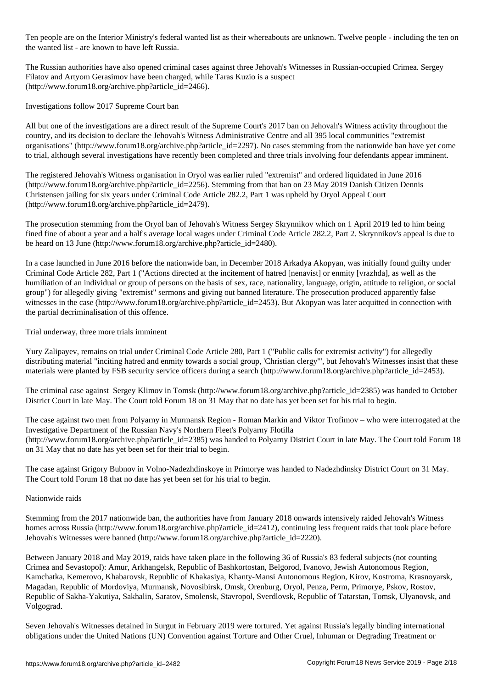Ten people are on the Interior Ministry's federal wanted list as their whereabouts are unknown. Twelve people - including the ten on the wanted list - are known to have left Russia.

The Russian authorities have also opened criminal cases against three Jehovah's Witnesses in Russian-occupied Crimea. Sergey Filatov and Artyom Gerasimov have been charged, while Taras Kuzio is a suspect (http://www.forum18.org/archive.php?article\_id=2466).

Investigations follow 2017 Supreme Court ban

All but one of the investigations are a direct result of the Supreme Court's 2017 ban on Jehovah's Witness activity throughout the country, and its decision to declare the Jehovah's Witness Administrative Centre and all 395 local communities "extremist organisations" (http://www.forum18.org/archive.php?article\_id=2297). No cases stemming from the nationwide ban have yet come to trial, although several investigations have recently been completed and three trials involving four defendants appear imminent.

The registered Jehovah's Witness organisation in Oryol was earlier ruled "extremist" and ordered liquidated in June 2016 (http://www.forum18.org/archive.php?article\_id=2256). Stemming from that ban on 23 May 2019 Danish Citizen Dennis Christensen jailing for six years under Criminal Code Article 282.2, Part 1 was upheld by Oryol Appeal Court (http://www.forum18.org/archive.php?article\_id=2479).

The prosecution stemming from the Oryol ban of Jehovah's Witness Sergey Skrynnikov which on 1 April 2019 led to him being fined fine of about a year and a half's average local wages under Criminal Code Article 282.2, Part 2. Skrynnikov's appeal is due to be heard on 13 June (http://www.forum18.org/archive.php?article\_id=2480).

In a case launched in June 2016 before the nationwide ban, in December 2018 Arkadya Akopyan, was initially found guilty under Criminal Code Article 282, Part 1 ("Actions directed at the incitement of hatred [nenavist] or enmity [vrazhda], as well as the humiliation of an individual or group of persons on the basis of sex, race, nationality, language, origin, attitude to religion, or social group") for allegedly giving "extremist" sermons and giving out banned literature. The prosecution produced apparently false witnesses in the case (http://www.forum18.org/archive.php?article\_id=2453). But Akopyan was later acquitted in connection with the partial decriminalisation of this offence.

Trial underway, three more trials imminent

Yury Zalipayev, remains on trial under Criminal Code Article 280, Part 1 ("Public calls for extremist activity") for allegedly distributing material "inciting hatred and enmity towards a social group, 'Christian clergy'", but Jehovah's Witnesses insist that these materials were planted by FSB security service officers during a search (http://www.forum18.org/archive.php?article\_id=2453).

The criminal case against Sergey Klimov in Tomsk (http://www.forum18.org/archive.php?article\_id=2385) was handed to October District Court in late May. The Court told Forum 18 on 31 May that no date has yet been set for his trial to begin.

The case against two men from Polyarny in Murmansk Region - Roman Markin and Viktor Trofimov – who were interrogated at the Investigative Department of the Russian Navy's Northern Fleet's Polyarny Flotilla (http://www.forum18.org/archive.php?article\_id=2385) was handed to Polyarny District Court in late May. The Court told Forum 18 on 31 May that no date has yet been set for their trial to begin.

The case against Grigory Bubnov in Volno-Nadezhdinskoye in Primorye was handed to Nadezhdinsky District Court on 31 May. The Court told Forum 18 that no date has yet been set for his trial to begin.

Nationwide raids

Stemming from the 2017 nationwide ban, the authorities have from January 2018 onwards intensively raided Jehovah's Witness homes across Russia (http://www.forum18.org/archive.php?article id=2412), continuing less frequent raids that took place before Jehovah's Witnesses were banned (http://www.forum18.org/archive.php?article\_id=2220).

Between January 2018 and May 2019, raids have taken place in the following 36 of Russia's 83 federal subjects (not counting Crimea and Sevastopol): Amur, Arkhangelsk, Republic of Bashkortostan, Belgorod, Ivanovo, Jewish Autonomous Region, Kamchatka, Kemerovo, Khabarovsk, Republic of Khakasiya, Khanty-Mansi Autonomous Region, Kirov, Kostroma, Krasnoyarsk, Magadan, Republic of Mordoviya, Murmansk, Novosibirsk, Omsk, Orenburg, Oryol, Penza, Perm, Primorye, Pskov, Rostov, Republic of Sakha-Yakutiya, Sakhalin, Saratov, Smolensk, Stavropol, Sverdlovsk, Republic of Tatarstan, Tomsk, Ulyanovsk, and Volgograd.

Seven Jehovah's Witnesses detained in Surgut in February 2019 were tortured. Yet against Russia's legally binding international obligations under the United Nations (UN) Convention against Torture and Other Cruel, Inhuman or Degrading Treatment or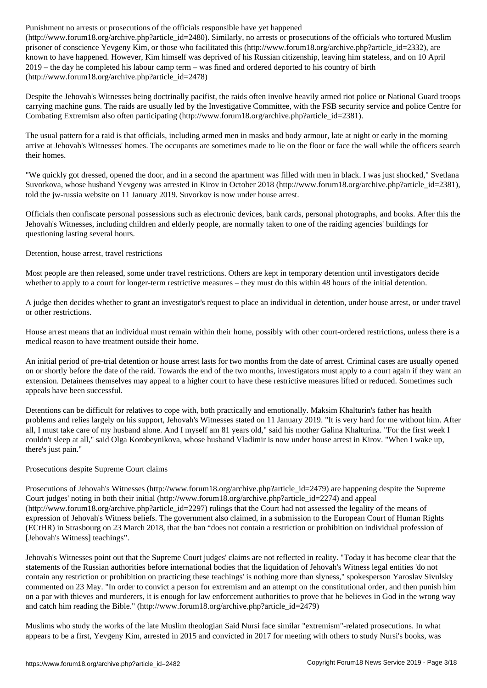$\mathcal{C}$ prisoner of conscience Yevgeny Kim, or those who facilitated this (http://www.forum18.org/archive.php?article\_id=2332), are known to have happened. However, Kim himself was deprived of his Russian citizenship, leaving him stateless, and on 10 April 2019 – the day he completed his labour camp term – was fined and ordered deported to his country of birth (http://www.forum18.org/archive.php?article\_id=2478)

Despite the Jehovah's Witnesses being doctrinally pacifist, the raids often involve heavily armed riot police or National Guard troops carrying machine guns. The raids are usually led by the Investigative Committee, with the FSB security service and police Centre for Combating Extremism also often participating (http://www.forum18.org/archive.php?article\_id=2381).

The usual pattern for a raid is that officials, including armed men in masks and body armour, late at night or early in the morning arrive at Jehovah's Witnesses' homes. The occupants are sometimes made to lie on the floor or face the wall while the officers search their homes.

"We quickly got dressed, opened the door, and in a second the apartment was filled with men in black. I was just shocked," Svetlana Suvorkova, whose husband Yevgeny was arrested in Kirov in October 2018 (http://www.forum18.org/archive.php?article\_id=2381), told the jw-russia website on 11 January 2019. Suvorkov is now under house arrest.

Officials then confiscate personal possessions such as electronic devices, bank cards, personal photographs, and books. After this the Jehovah's Witnesses, including children and elderly people, are normally taken to one of the raiding agencies' buildings for questioning lasting several hours.

Detention, house arrest, travel restrictions

Most people are then released, some under travel restrictions. Others are kept in temporary detention until investigators decide whether to apply to a court for longer-term restrictive measures – they must do this within 48 hours of the initial detention.

A judge then decides whether to grant an investigator's request to place an individual in detention, under house arrest, or under travel or other restrictions.

House arrest means that an individual must remain within their home, possibly with other court-ordered restrictions, unless there is a medical reason to have treatment outside their home.

An initial period of pre-trial detention or house arrest lasts for two months from the date of arrest. Criminal cases are usually opened on or shortly before the date of the raid. Towards the end of the two months, investigators must apply to a court again if they want an extension. Detainees themselves may appeal to a higher court to have these restrictive measures lifted or reduced. Sometimes such appeals have been successful.

Detentions can be difficult for relatives to cope with, both practically and emotionally. Maksim Khalturin's father has health problems and relies largely on his support, Jehovah's Witnesses stated on 11 January 2019. "It is very hard for me without him. After all, I must take care of my husband alone. And I myself am 81 years old," said his mother Galina Khalturina. "For the first week I couldn't sleep at all," said Olga Korobeynikova, whose husband Vladimir is now under house arrest in Kirov. "When I wake up, there's just pain."

# Prosecutions despite Supreme Court claims

Prosecutions of Jehovah's Witnesses (http://www.forum18.org/archive.php?article\_id=2479) are happening despite the Supreme Court judges' noting in both their initial (http://www.forum18.org/archive.php?article\_id=2274) and appeal (http://www.forum18.org/archive.php?article\_id=2297) rulings that the Court had not assessed the legality of the means of expression of Jehovah's Witness beliefs. The government also claimed, in a submission to the European Court of Human Rights (ECtHR) in Strasbourg on 23 March 2018, that the ban "does not contain a restriction or prohibition on individual profession of [Jehovah's Witness] teachings".

Jehovah's Witnesses point out that the Supreme Court judges' claims are not reflected in reality. "Today it has become clear that the statements of the Russian authorities before international bodies that the liquidation of Jehovah's Witness legal entities 'do not contain any restriction or prohibition on practicing these teachings' is nothing more than slyness," spokesperson Yaroslav Sivulsky commented on 23 May. "In order to convict a person for extremism and an attempt on the constitutional order, and then punish him on a par with thieves and murderers, it is enough for law enforcement authorities to prove that he believes in God in the wrong way and catch him reading the Bible." (http://www.forum18.org/archive.php?article\_id=2479)

Muslims who study the works of the late Muslim theologian Said Nursi face similar "extremism"-related prosecutions. In what appears to be a first, Yevgeny Kim, arrested in 2015 and convicted in 2017 for meeting with others to study Nursi's books, was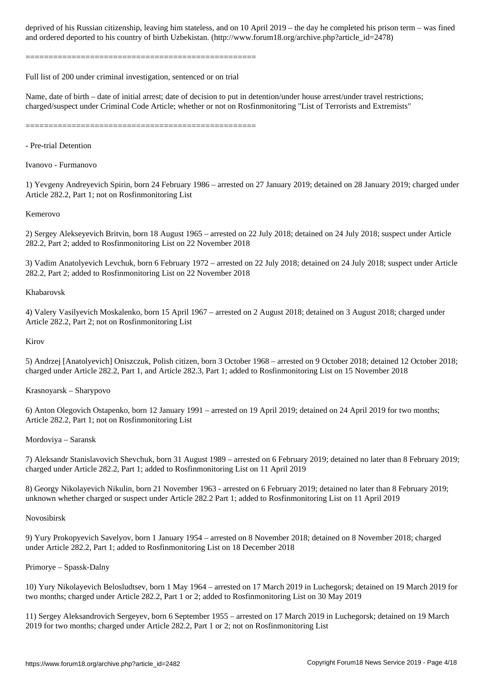==================================================

Full list of 200 under criminal investigation, sentenced or on trial

Name, date of birth – date of initial arrest; date of decision to put in detention/under house arrest/under travel restrictions; charged/suspect under Criminal Code Article; whether or not on Rosfinmonitoring "List of Terrorists and Extremists"

and ordered to his countries to his countries of birth  $U$  . (http://www.forumlar. (http://www.forumlar. (http://

==================================================

- Pre-trial Detention

Ivanovo - Furmanovo

1) Yevgeny Andreyevich Spirin, born 24 February 1986 – arrested on 27 January 2019; detained on 28 January 2019; charged under Article 282.2, Part 1; not on Rosfinmonitoring List

# Kemerovo

2) Sergey Alekseyevich Britvin, born 18 August 1965 – arrested on 22 July 2018; detained on 24 July 2018; suspect under Article 282.2, Part 2; added to Rosfinmonitoring List on 22 November 2018

3) Vadim Anatolyevich Levchuk, born 6 February 1972 – arrested on 22 July 2018; detained on 24 July 2018; suspect under Article 282.2, Part 2; added to Rosfinmonitoring List on 22 November 2018

# Khabarovsk

4) Valery Vasilyevich Moskalenko, born 15 April 1967 – arrested on 2 August 2018; detained on 3 August 2018; charged under Article 282.2, Part 2; not on Rosfinmonitoring List

# Kirov

5) Andrzej [Anatolyevich] Oniszczuk, Polish citizen, born 3 October 1968 – arrested on 9 October 2018; detained 12 October 2018; charged under Article 282.2, Part 1, and Article 282.3, Part 1; added to Rosfinmonitoring List on 15 November 2018

# Krasnoyarsk – Sharypovo

6) Anton Olegovich Ostapenko, born 12 January 1991 – arrested on 19 April 2019; detained on 24 April 2019 for two months; Article 282.2, Part 1; not on Rosfinmonitoring List

# Mordoviya – Saransk

7) Aleksandr Stanislavovich Shevchuk, born 31 August 1989 – arrested on 6 February 2019; detained no later than 8 February 2019; charged under Article 282.2, Part 1; added to Rosfinmonitoring List on 11 April 2019

8) Georgy Nikolayevich Nikulin, born 21 November 1963 - arrested on 6 February 2019; detained no later than 8 February 2019; unknown whether charged or suspect under Article 282.2 Part 1; added to Rosfinmonitoring List on 11 April 2019

# Novosibirsk

9) Yury Prokopyevich Savelyov, born 1 January 1954 – arrested on 8 November 2018; detained on 8 November 2018; charged under Article 282.2, Part 1; added to Rosfinmonitoring List on 18 December 2018

# Primorye – Spassk-Dalny

10) Yury Nikolayevich Belosludtsev, born 1 May 1964 – arrested on 17 March 2019 in Luchegorsk; detained on 19 March 2019 for two months; charged under Article 282.2, Part 1 or 2; added to Rosfinmonitoring List on 30 May 2019

11) Sergey Aleksandrovich Sergeyev, born 6 September 1955 – arrested on 17 March 2019 in Luchegorsk; detained on 19 March 2019 for two months; charged under Article 282.2, Part 1 or 2; not on Rosfinmonitoring List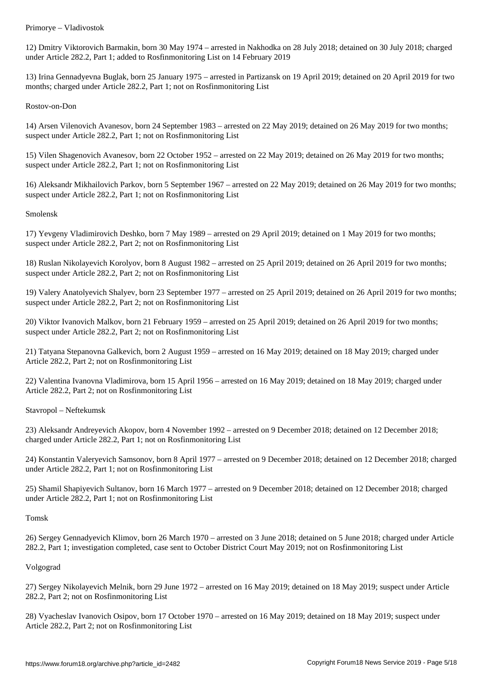12) Dmitry Viktorovich Barmakin, born 30 May 1974 – arrested in Nakhodka on 28 July 2018; detained on 30 July 2018; charged under Article 282.2, Part 1; added to Rosfinmonitoring List on 14 February 2019

13) Irina Gennadyevna Buglak, born 25 January 1975 – arrested in Partizansk on 19 April 2019; detained on 20 April 2019 for two months; charged under Article 282.2, Part 1; not on Rosfinmonitoring List

Rostov-on-Don

14) Arsen Vilenovich Avanesov, born 24 September 1983 – arrested on 22 May 2019; detained on 26 May 2019 for two months; suspect under Article 282.2, Part 1; not on Rosfinmonitoring List

15) Vilen Shagenovich Avanesov, born 22 October 1952 – arrested on 22 May 2019; detained on 26 May 2019 for two months; suspect under Article 282.2, Part 1; not on Rosfinmonitoring List

16) Aleksandr Mikhailovich Parkov, born 5 September 1967 – arrested on 22 May 2019; detained on 26 May 2019 for two months; suspect under Article 282.2, Part 1; not on Rosfinmonitoring List

Smolensk

17) Yevgeny Vladimirovich Deshko, born 7 May 1989 – arrested on 29 April 2019; detained on 1 May 2019 for two months; suspect under Article 282.2, Part 2; not on Rosfinmonitoring List

18) Ruslan Nikolayevich Korolyov, born 8 August 1982 – arrested on 25 April 2019; detained on 26 April 2019 for two months; suspect under Article 282.2, Part 2; not on Rosfinmonitoring List

19) Valery Anatolyevich Shalyev, born 23 September 1977 – arrested on 25 April 2019; detained on 26 April 2019 for two months; suspect under Article 282.2, Part 2; not on Rosfinmonitoring List

20) Viktor Ivanovich Malkov, born 21 February 1959 – arrested on 25 April 2019; detained on 26 April 2019 for two months; suspect under Article 282.2, Part 2; not on Rosfinmonitoring List

21) Tatyana Stepanovna Galkevich, born 2 August 1959 – arrested on 16 May 2019; detained on 18 May 2019; charged under Article 282.2, Part 2; not on Rosfinmonitoring List

22) Valentina Ivanovna Vladimirova, born 15 April 1956 – arrested on 16 May 2019; detained on 18 May 2019; charged under Article 282.2, Part 2; not on Rosfinmonitoring List

Stavropol – Neftekumsk

23) Aleksandr Andreyevich Akopov, born 4 November 1992 – arrested on 9 December 2018; detained on 12 December 2018; charged under Article 282.2, Part 1; not on Rosfinmonitoring List

24) Konstantin Valeryevich Samsonov, born 8 April 1977 – arrested on 9 December 2018; detained on 12 December 2018; charged under Article 282.2, Part 1; not on Rosfinmonitoring List

25) Shamil Shapiyevich Sultanov, born 16 March 1977 – arrested on 9 December 2018; detained on 12 December 2018; charged under Article 282.2, Part 1; not on Rosfinmonitoring List

Tomsk

26) Sergey Gennadyevich Klimov, born 26 March 1970 – arrested on 3 June 2018; detained on 5 June 2018; charged under Article 282.2, Part 1; investigation completed, case sent to October District Court May 2019; not on Rosfinmonitoring List

Volgograd

27) Sergey Nikolayevich Melnik, born 29 June 1972 – arrested on 16 May 2019; detained on 18 May 2019; suspect under Article 282.2, Part 2; not on Rosfinmonitoring List

28) Vyacheslav Ivanovich Osipov, born 17 October 1970 – arrested on 16 May 2019; detained on 18 May 2019; suspect under Article 282.2, Part 2; not on Rosfinmonitoring List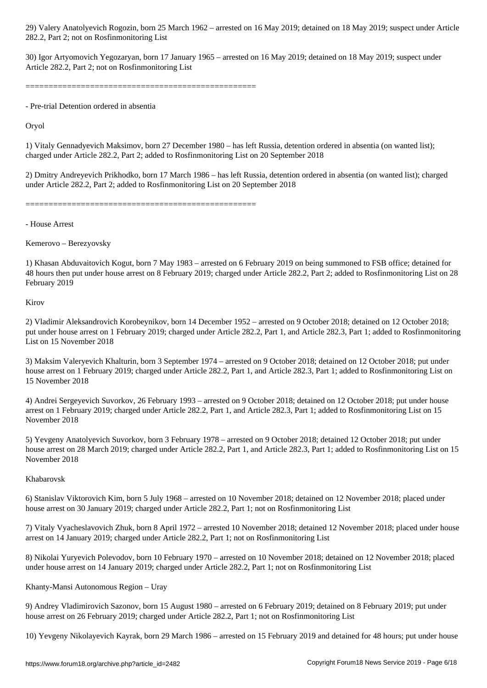282.2, Part 2; not on Rosfinmonitoring List

30) Igor Artyomovich Yegozaryan, born 17 January 1965 – arrested on 16 May 2019; detained on 18 May 2019; suspect under Article 282.2, Part 2; not on Rosfinmonitoring List

==================================================

- Pre-trial Detention ordered in absentia

Oryol

1) Vitaly Gennadyevich Maksimov, born 27 December 1980 – has left Russia, detention ordered in absentia (on wanted list); charged under Article 282.2, Part 2; added to Rosfinmonitoring List on 20 September 2018

2) Dmitry Andreyevich Prikhodko, born 17 March 1986 – has left Russia, detention ordered in absentia (on wanted list); charged under Article 282.2, Part 2; added to Rosfinmonitoring List on 20 September 2018

==================================================

- House Arrest

Kemerovo – Berezyovsky

1) Khasan Abduvaitovich Kogut, born 7 May 1983 – arrested on 6 February 2019 on being summoned to FSB office; detained for 48 hours then put under house arrest on 8 February 2019; charged under Article 282.2, Part 2; added to Rosfinmonitoring List on 28 February 2019

Kirov

2) Vladimir Aleksandrovich Korobeynikov, born 14 December 1952 – arrested on 9 October 2018; detained on 12 October 2018; put under house arrest on 1 February 2019; charged under Article 282.2, Part 1, and Article 282.3, Part 1; added to Rosfinmonitoring List on 15 November 2018

3) Maksim Valeryevich Khalturin, born 3 September 1974 – arrested on 9 October 2018; detained on 12 October 2018; put under house arrest on 1 February 2019; charged under Article 282.2, Part 1, and Article 282.3, Part 1; added to Rosfinmonitoring List on 15 November 2018

4) Andrei Sergeyevich Suvorkov, 26 February 1993 – arrested on 9 October 2018; detained on 12 October 2018; put under house arrest on 1 February 2019; charged under Article 282.2, Part 1, and Article 282.3, Part 1; added to Rosfinmonitoring List on 15 November 2018

5) Yevgeny Anatolyevich Suvorkov, born 3 February 1978 – arrested on 9 October 2018; detained 12 October 2018; put under house arrest on 28 March 2019; charged under Article 282.2, Part 1, and Article 282.3, Part 1; added to Rosfinmonitoring List on 15 November 2018

# Khabarovsk

6) Stanislav Viktorovich Kim, born 5 July 1968 – arrested on 10 November 2018; detained on 12 November 2018; placed under house arrest on 30 January 2019; charged under Article 282.2, Part 1; not on Rosfinmonitoring List

7) Vitaly Vyacheslavovich Zhuk, born 8 April 1972 – arrested 10 November 2018; detained 12 November 2018; placed under house arrest on 14 January 2019; charged under Article 282.2, Part 1; not on Rosfinmonitoring List

8) Nikolai Yuryevich Polevodov, born 10 February 1970 – arrested on 10 November 2018; detained on 12 November 2018; placed under house arrest on 14 January 2019; charged under Article 282.2, Part 1; not on Rosfinmonitoring List

# Khanty-Mansi Autonomous Region – Uray

9) Andrey Vladimirovich Sazonov, born 15 August 1980 – arrested on 6 February 2019; detained on 8 February 2019; put under house arrest on 26 February 2019; charged under Article 282.2, Part 1; not on Rosfinmonitoring List

10) Yevgeny Nikolayevich Kayrak, born 29 March 1986 – arrested on 15 February 2019 and detained for 48 hours; put under house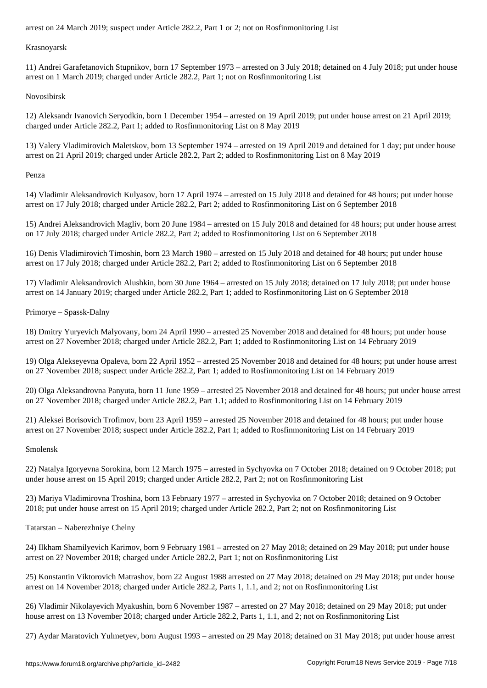Krasnoyarsk

11) Andrei Garafetanovich Stupnikov, born 17 September 1973 – arrested on 3 July 2018; detained on 4 July 2018; put under house arrest on 1 March 2019; charged under Article 282.2, Part 1; not on Rosfinmonitoring List

Novosibirsk

12) Aleksandr Ivanovich Seryodkin, born 1 December 1954 – arrested on 19 April 2019; put under house arrest on 21 April 2019; charged under Article 282.2, Part 1; added to Rosfinmonitoring List on 8 May 2019

13) Valery Vladimirovich Maletskov, born 13 September 1974 – arrested on 19 April 2019 and detained for 1 day; put under house arrest on 21 April 2019; charged under Article 282.2, Part 2; added to Rosfinmonitoring List on 8 May 2019

Penza

14) Vladimir Aleksandrovich Kulyasov, born 17 April 1974 – arrested on 15 July 2018 and detained for 48 hours; put under house arrest on 17 July 2018; charged under Article 282.2, Part 2; added to Rosfinmonitoring List on 6 September 2018

15) Andrei Aleksandrovich Magliv, born 20 June 1984 – arrested on 15 July 2018 and detained for 48 hours; put under house arrest on 17 July 2018; charged under Article 282.2, Part 2; added to Rosfinmonitoring List on 6 September 2018

16) Denis Vladimirovich Timoshin, born 23 March 1980 – arrested on 15 July 2018 and detained for 48 hours; put under house arrest on 17 July 2018; charged under Article 282.2, Part 2; added to Rosfinmonitoring List on 6 September 2018

17) Vladimir Aleksandrovich Alushkin, born 30 June 1964 – arrested on 15 July 2018; detained on 17 July 2018; put under house arrest on 14 January 2019; charged under Article 282.2, Part 1; added to Rosfinmonitoring List on 6 September 2018

Primorye – Spassk-Dalny

18) Dmitry Yuryevich Malyovany, born 24 April 1990 – arrested 25 November 2018 and detained for 48 hours; put under house arrest on 27 November 2018; charged under Article 282.2, Part 1; added to Rosfinmonitoring List on 14 February 2019

19) Olga Alekseyevna Opaleva, born 22 April 1952 – arrested 25 November 2018 and detained for 48 hours; put under house arrest on 27 November 2018; suspect under Article 282.2, Part 1; added to Rosfinmonitoring List on 14 February 2019

20) Olga Aleksandrovna Panyuta, born 11 June 1959 – arrested 25 November 2018 and detained for 48 hours; put under house arrest on 27 November 2018; charged under Article 282.2, Part 1.1; added to Rosfinmonitoring List on 14 February 2019

21) Aleksei Borisovich Trofimov, born 23 April 1959 – arrested 25 November 2018 and detained for 48 hours; put under house arrest on 27 November 2018; suspect under Article 282.2, Part 1; added to Rosfinmonitoring List on 14 February 2019

Smolensk

22) Natalya Igoryevna Sorokina, born 12 March 1975 – arrested in Sychyovka on 7 October 2018; detained on 9 October 2018; put under house arrest on 15 April 2019; charged under Article 282.2, Part 2; not on Rosfinmonitoring List

23) Mariya Vladimirovna Troshina, born 13 February 1977 – arrested in Sychyovka on 7 October 2018; detained on 9 October 2018; put under house arrest on 15 April 2019; charged under Article 282.2, Part 2; not on Rosfinmonitoring List

Tatarstan – Naberezhniye Chelny

24) Ilkham Shamilyevich Karimov, born 9 February 1981 – arrested on 27 May 2018; detained on 29 May 2018; put under house arrest on 2? November 2018; charged under Article 282.2, Part 1; not on Rosfinmonitoring List

25) Konstantin Viktorovich Matrashov, born 22 August 1988 arrested on 27 May 2018; detained on 29 May 2018; put under house arrest on 14 November 2018; charged under Article 282.2, Parts 1, 1.1, and 2; not on Rosfinmonitoring List

26) Vladimir Nikolayevich Myakushin, born 6 November 1987 – arrested on 27 May 2018; detained on 29 May 2018; put under house arrest on 13 November 2018; charged under Article 282.2, Parts 1, 1.1, and 2; not on Rosfinmonitoring List

27) Aydar Maratovich Yulmetyev, born August 1993 – arrested on 29 May 2018; detained on 31 May 2018; put under house arrest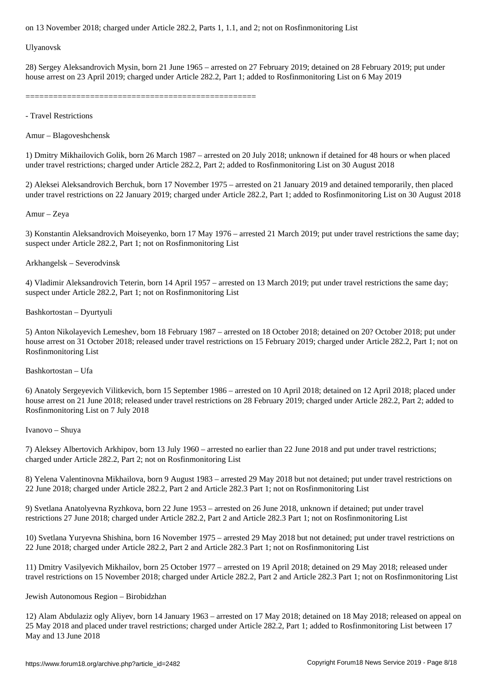Ulyanovsk

28) Sergey Aleksandrovich Mysin, born 21 June 1965 – arrested on 27 February 2019; detained on 28 February 2019; put under house arrest on 23 April 2019; charged under Article 282.2, Part 1; added to Rosfinmonitoring List on 6 May 2019

==================================================

- Travel Restrictions

Amur – Blagoveshchensk

1) Dmitry Mikhailovich Golik, born 26 March 1987 – arrested on 20 July 2018; unknown if detained for 48 hours or when placed under travel restrictions; charged under Article 282.2, Part 2; added to Rosfinmonitoring List on 30 August 2018

2) Aleksei Aleksandrovich Berchuk, born 17 November 1975 – arrested on 21 January 2019 and detained temporarily, then placed under travel restrictions on 22 January 2019; charged under Article 282.2, Part 1; added to Rosfinmonitoring List on 30 August 2018

Amur – Zeya

3) Konstantin Aleksandrovich Moiseyenko, born 17 May 1976 – arrested 21 March 2019; put under travel restrictions the same day; suspect under Article 282.2, Part 1; not on Rosfinmonitoring List

Arkhangelsk – Severodvinsk

4) Vladimir Aleksandrovich Teterin, born 14 April 1957 – arrested on 13 March 2019; put under travel restrictions the same day; suspect under Article 282.2, Part 1; not on Rosfinmonitoring List

Bashkortostan – Dyurtyuli

5) Anton Nikolayevich Lemeshev, born 18 February 1987 – arrested on 18 October 2018; detained on 20? October 2018; put under house arrest on 31 October 2018; released under travel restrictions on 15 February 2019; charged under Article 282.2, Part 1; not on Rosfinmonitoring List

Bashkortostan – Ufa

6) Anatoly Sergeyevich Vilitkevich, born 15 September 1986 – arrested on 10 April 2018; detained on 12 April 2018; placed under house arrest on 21 June 2018; released under travel restrictions on 28 February 2019; charged under Article 282.2, Part 2; added to Rosfinmonitoring List on 7 July 2018

Ivanovo – Shuya

7) Aleksey Albertovich Arkhipov, born 13 July 1960 – arrested no earlier than 22 June 2018 and put under travel restrictions; charged under Article 282.2, Part 2; not on Rosfinmonitoring List

8) Yelena Valentinovna Mikhailova, born 9 August 1983 – arrested 29 May 2018 but not detained; put under travel restrictions on 22 June 2018; charged under Article 282.2, Part 2 and Article 282.3 Part 1; not on Rosfinmonitoring List

9) Svetlana Anatolyevna Ryzhkova, born 22 June 1953 – arrested on 26 June 2018, unknown if detained; put under travel restrictions 27 June 2018; charged under Article 282.2, Part 2 and Article 282.3 Part 1; not on Rosfinmonitoring List

10) Svetlana Yuryevna Shishina, born 16 November 1975 – arrested 29 May 2018 but not detained; put under travel restrictions on 22 June 2018; charged under Article 282.2, Part 2 and Article 282.3 Part 1; not on Rosfinmonitoring List

11) Dmitry Vasilyevich Mikhailov, born 25 October 1977 – arrested on 19 April 2018; detained on 29 May 2018; released under travel restrictions on 15 November 2018; charged under Article 282.2, Part 2 and Article 282.3 Part 1; not on Rosfinmonitoring List

Jewish Autonomous Region – Birobidzhan

12) Alam Abdulaziz ogly Aliyev, born 14 January 1963 – arrested on 17 May 2018; detained on 18 May 2018; released on appeal on 25 May 2018 and placed under travel restrictions; charged under Article 282.2, Part 1; added to Rosfinmonitoring List between 17 May and 13 June 2018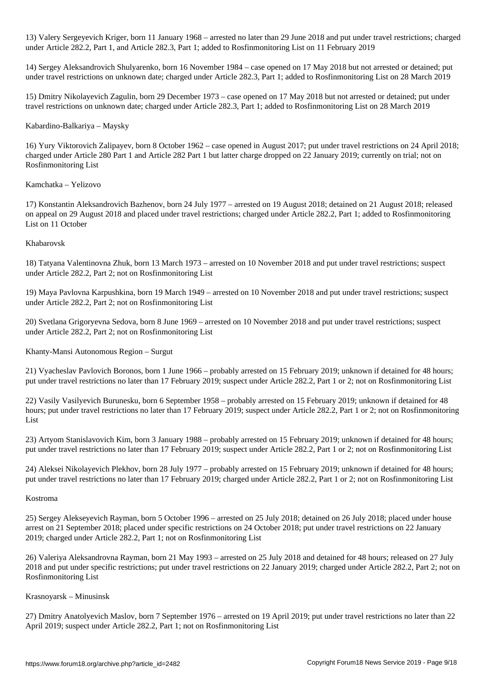13) Valery Sergeyevich Kriger, born 11 January 1968 – arrested no later than 29 June 2018 and put under travel restrictions; charged under Article 282.2, Part 1, and Article 282.3, Part 1; added to Rosfinmonitoring List on 11 February 2019

14) Sergey Aleksandrovich Shulyarenko, born 16 November 1984 – case opened on 17 May 2018 but not arrested or detained; put under travel restrictions on unknown date; charged under Article 282.3, Part 1; added to Rosfinmonitoring List on 28 March 2019

15) Dmitry Nikolayevich Zagulin, born 29 December 1973 – case opened on 17 May 2018 but not arrested or detained; put under travel restrictions on unknown date; charged under Article 282.3, Part 1; added to Rosfinmonitoring List on 28 March 2019

# Kabardino-Balkariya – Maysky

16) Yury Viktorovich Zalipayev, born 8 October 1962 – case opened in August 2017; put under travel restrictions on 24 April 2018; charged under Article 280 Part 1 and Article 282 Part 1 but latter charge dropped on 22 January 2019; currently on trial; not on Rosfinmonitoring List

# Kamchatka – Yelizovo

17) Konstantin Aleksandrovich Bazhenov, born 24 July 1977 – arrested on 19 August 2018; detained on 21 August 2018; released on appeal on 29 August 2018 and placed under travel restrictions; charged under Article 282.2, Part 1; added to Rosfinmonitoring List on 11 October

# Khabarovsk

18) Tatyana Valentinovna Zhuk, born 13 March 1973 – arrested on 10 November 2018 and put under travel restrictions; suspect under Article 282.2, Part 2; not on Rosfinmonitoring List

19) Maya Pavlovna Karpushkina, born 19 March 1949 – arrested on 10 November 2018 and put under travel restrictions; suspect under Article 282.2, Part 2; not on Rosfinmonitoring List

20) Svetlana Grigoryevna Sedova, born 8 June 1969 – arrested on 10 November 2018 and put under travel restrictions; suspect under Article 282.2, Part 2; not on Rosfinmonitoring List

Khanty-Mansi Autonomous Region – Surgut

21) Vyacheslav Pavlovich Boronos, born 1 June 1966 – probably arrested on 15 February 2019; unknown if detained for 48 hours; put under travel restrictions no later than 17 February 2019; suspect under Article 282.2, Part 1 or 2; not on Rosfinmonitoring List

22) Vasily Vasilyevich Burunesku, born 6 September 1958 – probably arrested on 15 February 2019; unknown if detained for 48 hours; put under travel restrictions no later than 17 February 2019; suspect under Article 282.2, Part 1 or 2; not on Rosfinmonitoring List

23) Artyom Stanislavovich Kim, born 3 January 1988 – probably arrested on 15 February 2019; unknown if detained for 48 hours; put under travel restrictions no later than 17 February 2019; suspect under Article 282.2, Part 1 or 2; not on Rosfinmonitoring List

24) Aleksei Nikolayevich Plekhov, born 28 July 1977 – probably arrested on 15 February 2019; unknown if detained for 48 hours; put under travel restrictions no later than 17 February 2019; charged under Article 282.2, Part 1 or 2; not on Rosfinmonitoring List

# Kostroma

25) Sergey Alekseyevich Rayman, born 5 October 1996 – arrested on 25 July 2018; detained on 26 July 2018; placed under house arrest on 21 September 2018; placed under specific restrictions on 24 October 2018; put under travel restrictions on 22 January 2019; charged under Article 282.2, Part 1; not on Rosfinmonitoring List

26) Valeriya Aleksandrovna Rayman, born 21 May 1993 – arrested on 25 July 2018 and detained for 48 hours; released on 27 July 2018 and put under specific restrictions; put under travel restrictions on 22 January 2019; charged under Article 282.2, Part 2; not on Rosfinmonitoring List

# Krasnoyarsk – Minusinsk

27) Dmitry Anatolyevich Maslov, born 7 September 1976 – arrested on 19 April 2019; put under travel restrictions no later than 22 April 2019; suspect under Article 282.2, Part 1; not on Rosfinmonitoring List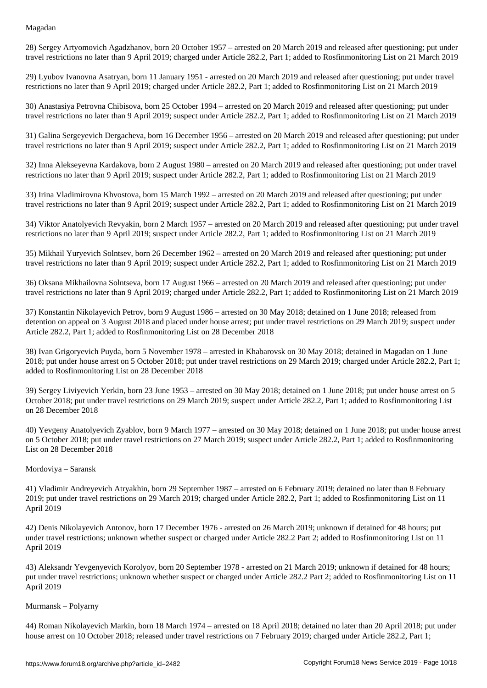28) Sergey Artyomovich Agadzhanov, born 20 October 1957 – arrested on 20 March 2019 and released after questioning; put under travel restrictions no later than 9 April 2019; charged under Article 282.2, Part 1; added to Rosfinmonitoring List on 21 March 2019

29) Lyubov Ivanovna Asatryan, born 11 January 1951 - arrested on 20 March 2019 and released after questioning; put under travel restrictions no later than 9 April 2019; charged under Article 282.2, Part 1; added to Rosfinmonitoring List on 21 March 2019

30) Anastasiya Petrovna Chibisova, born 25 October 1994 – arrested on 20 March 2019 and released after questioning; put under travel restrictions no later than 9 April 2019; suspect under Article 282.2, Part 1; added to Rosfinmonitoring List on 21 March 2019

31) Galina Sergeyevich Dergacheva, born 16 December 1956 – arrested on 20 March 2019 and released after questioning; put under travel restrictions no later than 9 April 2019; suspect under Article 282.2, Part 1; added to Rosfinmonitoring List on 21 March 2019

32) Inna Alekseyevna Kardakova, born 2 August 1980 – arrested on 20 March 2019 and released after questioning; put under travel restrictions no later than 9 April 2019; suspect under Article 282.2, Part 1; added to Rosfinmonitoring List on 21 March 2019

33) Irina Vladimirovna Khvostova, born 15 March 1992 – arrested on 20 March 2019 and released after questioning; put under travel restrictions no later than 9 April 2019; suspect under Article 282.2, Part 1; added to Rosfinmonitoring List on 21 March 2019

34) Viktor Anatolyevich Revyakin, born 2 March 1957 – arrested on 20 March 2019 and released after questioning; put under travel restrictions no later than 9 April 2019; suspect under Article 282.2, Part 1; added to Rosfinmonitoring List on 21 March 2019

35) Mikhail Yuryevich Solntsev, born 26 December 1962 – arrested on 20 March 2019 and released after questioning; put under travel restrictions no later than 9 April 2019; suspect under Article 282.2, Part 1; added to Rosfinmonitoring List on 21 March 2019

36) Oksana Mikhailovna Solntseva, born 17 August 1966 – arrested on 20 March 2019 and released after questioning; put under travel restrictions no later than 9 April 2019; charged under Article 282.2, Part 1; added to Rosfinmonitoring List on 21 March 2019

37) Konstantin Nikolayevich Petrov, born 9 August 1986 – arrested on 30 May 2018; detained on 1 June 2018; released from detention on appeal on 3 August 2018 and placed under house arrest; put under travel restrictions on 29 March 2019; suspect under Article 282.2, Part 1; added to Rosfinmonitoring List on 28 December 2018

38) Ivan Grigoryevich Puyda, born 5 November 1978 – arrested in Khabarovsk on 30 May 2018; detained in Magadan on 1 June 2018; put under house arrest on 5 October 2018; put under travel restrictions on 29 March 2019; charged under Article 282.2, Part 1; added to Rosfinmonitoring List on 28 December 2018

39) Sergey Liviyevich Yerkin, born 23 June 1953 – arrested on 30 May 2018; detained on 1 June 2018; put under house arrest on 5 October 2018; put under travel restrictions on 29 March 2019; suspect under Article 282.2, Part 1; added to Rosfinmonitoring List on 28 December 2018

40) Yevgeny Anatolyevich Zyablov, born 9 March 1977 – arrested on 30 May 2018; detained on 1 June 2018; put under house arrest on 5 October 2018; put under travel restrictions on 27 March 2019; suspect under Article 282.2, Part 1; added to Rosfinmonitoring List on 28 December 2018

#### Mordoviya – Saransk

41) Vladimir Andreyevich Atryakhin, born 29 September 1987 – arrested on 6 February 2019; detained no later than 8 February 2019; put under travel restrictions on 29 March 2019; charged under Article 282.2, Part 1; added to Rosfinmonitoring List on 11 April 2019

42) Denis Nikolayevich Antonov, born 17 December 1976 - arrested on 26 March 2019; unknown if detained for 48 hours; put under travel restrictions; unknown whether suspect or charged under Article 282.2 Part 2; added to Rosfinmonitoring List on 11 April 2019

43) Aleksandr Yevgenyevich Korolyov, born 20 September 1978 - arrested on 21 March 2019; unknown if detained for 48 hours; put under travel restrictions; unknown whether suspect or charged under Article 282.2 Part 2; added to Rosfinmonitoring List on 11 April 2019

#### Murmansk – Polyarny

44) Roman Nikolayevich Markin, born 18 March 1974 – arrested on 18 April 2018; detained no later than 20 April 2018; put under house arrest on 10 October 2018; released under travel restrictions on 7 February 2019; charged under Article 282.2, Part 1;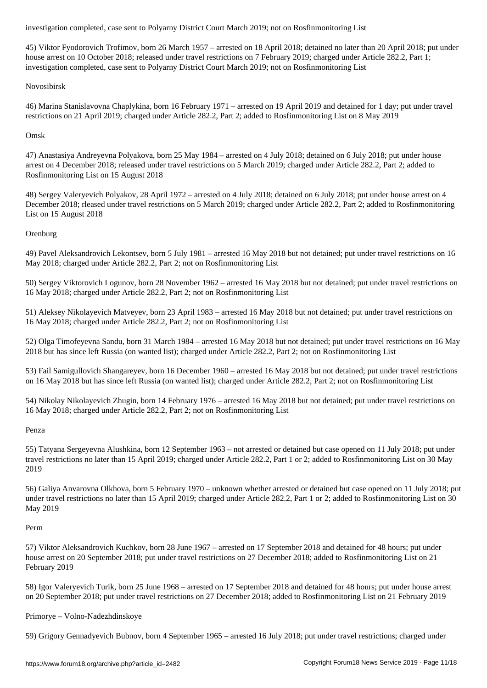45) Viktor Fyodorovich Trofimov, born 26 March 1957 – arrested on 18 April 2018; detained no later than 20 April 2018; put under house arrest on 10 October 2018; released under travel restrictions on 7 February 2019; charged under Article 282.2, Part 1; investigation completed, case sent to Polyarny District Court March 2019; not on Rosfinmonitoring List

### Novosibirsk

46) Marina Stanislavovna Chaplykina, born 16 February 1971 – arrested on 19 April 2019 and detained for 1 day; put under travel restrictions on 21 April 2019; charged under Article 282.2, Part 2; added to Rosfinmonitoring List on 8 May 2019

## Omsk

47) Anastasiya Andreyevna Polyakova, born 25 May 1984 – arrested on 4 July 2018; detained on 6 July 2018; put under house arrest on 4 December 2018; released under travel restrictions on 5 March 2019; charged under Article 282.2, Part 2; added to Rosfinmonitoring List on 15 August 2018

48) Sergey Valeryevich Polyakov, 28 April 1972 – arrested on 4 July 2018; detained on 6 July 2018; put under house arrest on 4 December 2018; rleased under travel restrictions on 5 March 2019; charged under Article 282.2, Part 2; added to Rosfinmonitoring List on 15 August 2018

#### **Orenburg**

49) Pavel Aleksandrovich Lekontsev, born 5 July 1981 – arrested 16 May 2018 but not detained; put under travel restrictions on 16 May 2018; charged under Article 282.2, Part 2; not on Rosfinmonitoring List

50) Sergey Viktorovich Logunov, born 28 November 1962 – arrested 16 May 2018 but not detained; put under travel restrictions on 16 May 2018; charged under Article 282.2, Part 2; not on Rosfinmonitoring List

51) Aleksey Nikolayevich Matveyev, born 23 April 1983 – arrested 16 May 2018 but not detained; put under travel restrictions on 16 May 2018; charged under Article 282.2, Part 2; not on Rosfinmonitoring List

52) Olga Timofeyevna Sandu, born 31 March 1984 – arrested 16 May 2018 but not detained; put under travel restrictions on 16 May 2018 but has since left Russia (on wanted list); charged under Article 282.2, Part 2; not on Rosfinmonitoring List

53) Fail Samigullovich Shangareyev, born 16 December 1960 – arrested 16 May 2018 but not detained; put under travel restrictions on 16 May 2018 but has since left Russia (on wanted list); charged under Article 282.2, Part 2; not on Rosfinmonitoring List

54) Nikolay Nikolayevich Zhugin, born 14 February 1976 – arrested 16 May 2018 but not detained; put under travel restrictions on 16 May 2018; charged under Article 282.2, Part 2; not on Rosfinmonitoring List

# Penza

55) Tatyana Sergeyevna Alushkina, born 12 September 1963 – not arrested or detained but case opened on 11 July 2018; put under travel restrictions no later than 15 April 2019; charged under Article 282.2, Part 1 or 2; added to Rosfinmonitoring List on 30 May 2019

56) Galiya Anvarovna Olkhova, born 5 February 1970 – unknown whether arrested or detained but case opened on 11 July 2018; put under travel restrictions no later than 15 April 2019; charged under Article 282.2, Part 1 or 2; added to Rosfinmonitoring List on 30 May 2019

#### Perm

57) Viktor Aleksandrovich Kuchkov, born 28 June 1967 – arrested on 17 September 2018 and detained for 48 hours; put under house arrest on 20 September 2018; put under travel restrictions on 27 December 2018; added to Rosfinmonitoring List on 21 February 2019

58) Igor Valeryevich Turik, born 25 June 1968 – arrested on 17 September 2018 and detained for 48 hours; put under house arrest on 20 September 2018; put under travel restrictions on 27 December 2018; added to Rosfinmonitoring List on 21 February 2019

# Primorye – Volno-Nadezhdinskoye

59) Grigory Gennadyevich Bubnov, born 4 September 1965 – arrested 16 July 2018; put under travel restrictions; charged under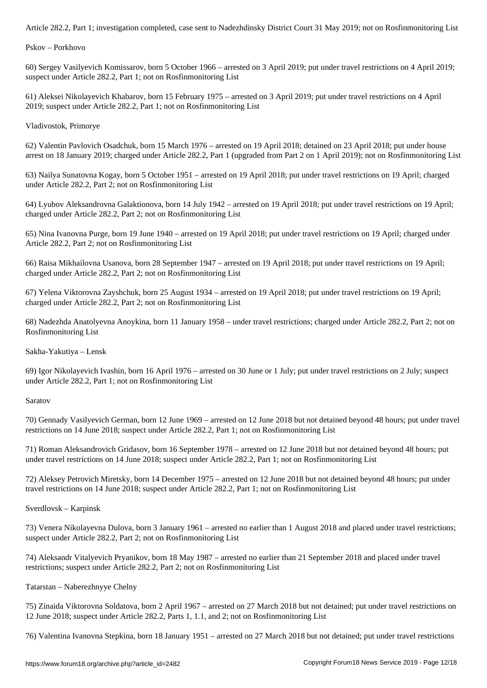Pskov – Porkhovo

60) Sergey Vasilyevich Komissarov, born 5 October 1966 – arrested on 3 April 2019; put under travel restrictions on 4 April 2019; suspect under Article 282.2, Part 1; not on Rosfinmonitoring List

61) Aleksei Nikolayevich Khabarov, born 15 February 1975 – arrested on 3 April 2019; put under travel restrictions on 4 April 2019; suspect under Article 282.2, Part 1; not on Rosfinmonitoring List

Vladivostok, Primorye

62) Valentin Pavlovich Osadchuk, born 15 March 1976 – arrested on 19 April 2018; detained on 23 April 2018; put under house arrest on 18 January 2019; charged under Article 282.2, Part 1 (upgraded from Part 2 on 1 April 2019); not on Rosfinmonitoring List

63) Nailya Sunatovna Kogay, born 5 October 1951 – arrested on 19 April 2018; put under travel restrictions on 19 April; charged under Article 282.2, Part 2; not on Rosfinmonitoring List

64) Lyubov Aleksandrovna Galaktionova, born 14 July 1942 – arrested on 19 April 2018; put under travel restrictions on 19 April; charged under Article 282.2, Part 2; not on Rosfinmonitoring List

65) Nina Ivanovna Purge, born 19 June 1940 – arrested on 19 April 2018; put under travel restrictions on 19 April; charged under Article 282.2, Part 2; not on Rosfinmonitoring List

66) Raisa Mikhailovna Usanova, born 28 September 1947 – arrested on 19 April 2018; put under travel restrictions on 19 April; charged under Article 282.2, Part 2; not on Rosfinmonitoring List

67) Yelena Viktorovna Zayshchuk, born 25 August 1934 – arrested on 19 April 2018; put under travel restrictions on 19 April; charged under Article 282.2, Part 2; not on Rosfinmonitoring List

68) Nadezhda Anatolyevna Anoykina, born 11 January 1958 – under travel restrictions; charged under Article 282.2, Part 2; not on Rosfinmonitoring List

Sakha-Yakutiya – Lensk

69) Igor Nikolayevich Ivashin, born 16 April 1976 – arrested on 30 June or 1 July; put under travel restrictions on 2 July; suspect under Article 282.2, Part 1; not on Rosfinmonitoring List

Saratov

70) Gennady Vasilyevich German, born 12 June 1969 – arrested on 12 June 2018 but not detained beyond 48 hours; put under travel restrictions on 14 June 2018; suspect under Article 282.2, Part 1; not on Rosfinmonitoring List

71) Roman Aleksandrovich Gridasov, born 16 September 1978 – arrested on 12 June 2018 but not detained beyond 48 hours; put under travel restrictions on 14 June 2018; suspect under Article 282.2, Part 1; not on Rosfinmonitoring List

72) Aleksey Petrovich Miretsky, born 14 December 1975 – arrested on 12 June 2018 but not detained beyond 48 hours; put under travel restrictions on 14 June 2018; suspect under Article 282.2, Part 1; not on Rosfinmonitoring List

Sverdlovsk – Karpinsk

73) Venera Nikolayevna Dulova, born 3 January 1961 – arrested no earlier than 1 August 2018 and placed under travel restrictions; suspect under Article 282.2, Part 2; not on Rosfinmonitoring List

74) Aleksandr Vitalyevich Pryanikov, born 18 May 1987 – arrested no earlier than 21 September 2018 and placed under travel restrictions; suspect under Article 282.2, Part 2; not on Rosfinmonitoring List

Tatarstan – Naberezhnyye Chelny

75) Zinaida Viktorovna Soldatova, born 2 April 1967 – arrested on 27 March 2018 but not detained; put under travel restrictions on 12 June 2018; suspect under Article 282.2, Parts 1, 1.1, and 2; not on Rosfinmonitoring List

76) Valentina Ivanovna Stepkina, born 18 January 1951 – arrested on 27 March 2018 but not detained; put under travel restrictions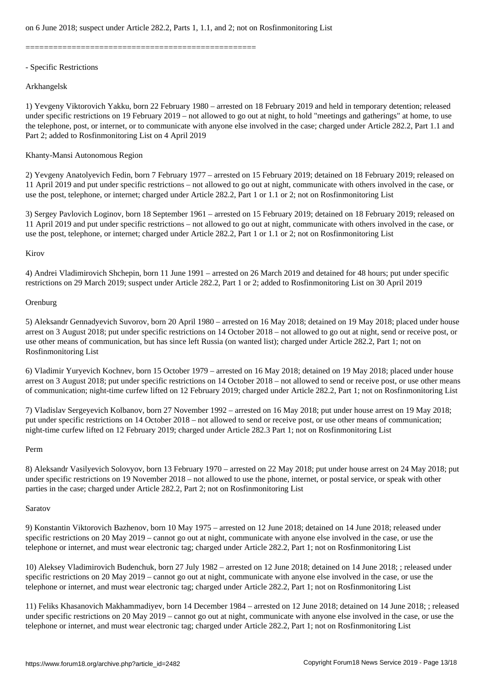==================================================

# - Specific Restrictions

# Arkhangelsk

1) Yevgeny Viktorovich Yakku, born 22 February 1980 – arrested on 18 February 2019 and held in temporary detention; released under specific restrictions on 19 February 2019 – not allowed to go out at night, to hold "meetings and gatherings" at home, to use the telephone, post, or internet, or to communicate with anyone else involved in the case; charged under Article 282.2, Part 1.1 and Part 2; added to Rosfinmonitoring List on 4 April 2019

# Khanty-Mansi Autonomous Region

2) Yevgeny Anatolyevich Fedin, born 7 February 1977 – arrested on 15 February 2019; detained on 18 February 2019; released on 11 April 2019 and put under specific restrictions – not allowed to go out at night, communicate with others involved in the case, or use the post, telephone, or internet; charged under Article 282.2, Part 1 or 1.1 or 2; not on Rosfinmonitoring List

3) Sergey Pavlovich Loginov, born 18 September 1961 – arrested on 15 February 2019; detained on 18 February 2019; released on 11 April 2019 and put under specific restrictions – not allowed to go out at night, communicate with others involved in the case, or use the post, telephone, or internet; charged under Article 282.2, Part 1 or 1.1 or 2; not on Rosfinmonitoring List

# Kirov

4) Andrei Vladimirovich Shchepin, born 11 June 1991 – arrested on 26 March 2019 and detained for 48 hours; put under specific restrictions on 29 March 2019; suspect under Article 282.2, Part 1 or 2; added to Rosfinmonitoring List on 30 April 2019

# **Orenburg**

5) Aleksandr Gennadyevich Suvorov, born 20 April 1980 – arrested on 16 May 2018; detained on 19 May 2018; placed under house arrest on 3 August 2018; put under specific restrictions on 14 October 2018 – not allowed to go out at night, send or receive post, or use other means of communication, but has since left Russia (on wanted list); charged under Article 282.2, Part 1; not on Rosfinmonitoring List

6) Vladimir Yuryevich Kochnev, born 15 October 1979 – arrested on 16 May 2018; detained on 19 May 2018; placed under house arrest on 3 August 2018; put under specific restrictions on 14 October 2018 – not allowed to send or receive post, or use other means of communication; night-time curfew lifted on 12 February 2019; charged under Article 282.2, Part 1; not on Rosfinmonitoring List

7) Vladislav Sergeyevich Kolbanov, born 27 November 1992 – arrested on 16 May 2018; put under house arrest on 19 May 2018; put under specific restrictions on 14 October 2018 – not allowed to send or receive post, or use other means of communication; night-time curfew lifted on 12 February 2019; charged under Article 282.3 Part 1; not on Rosfinmonitoring List

# Perm

8) Aleksandr Vasilyevich Solovyov, born 13 February 1970 – arrested on 22 May 2018; put under house arrest on 24 May 2018; put under specific restrictions on 19 November 2018 – not allowed to use the phone, internet, or postal service, or speak with other parties in the case; charged under Article 282.2, Part 2; not on Rosfinmonitoring List

# Saratov

9) Konstantin Viktorovich Bazhenov, born 10 May 1975 – arrested on 12 June 2018; detained on 14 June 2018; released under specific restrictions on 20 May 2019 – cannot go out at night, communicate with anyone else involved in the case, or use the telephone or internet, and must wear electronic tag; charged under Article 282.2, Part 1; not on Rosfinmonitoring List

10) Aleksey Vladimirovich Budenchuk, born 27 July 1982 – arrested on 12 June 2018; detained on 14 June 2018; ; released under specific restrictions on 20 May 2019 – cannot go out at night, communicate with anyone else involved in the case, or use the telephone or internet, and must wear electronic tag; charged under Article 282.2, Part 1; not on Rosfinmonitoring List

11) Feliks Khasanovich Makhammadiyev, born 14 December 1984 – arrested on 12 June 2018; detained on 14 June 2018; ; released under specific restrictions on 20 May 2019 – cannot go out at night, communicate with anyone else involved in the case, or use the telephone or internet, and must wear electronic tag; charged under Article 282.2, Part 1; not on Rosfinmonitoring List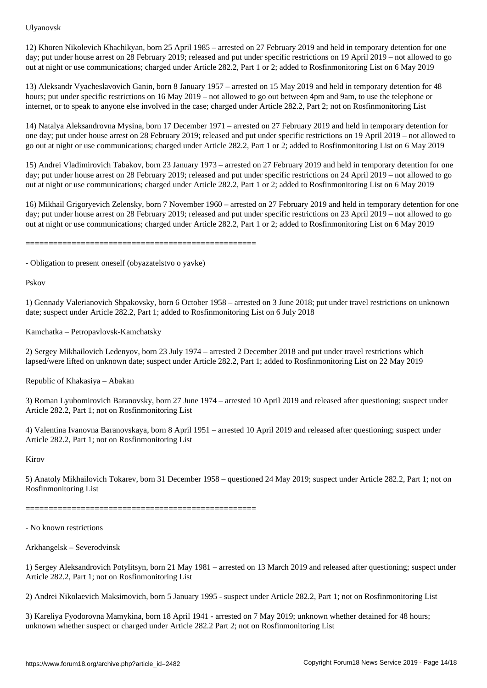12) Khoren Nikolevich Khachikyan, born 25 April 1985 – arrested on 27 February 2019 and held in temporary detention for one day; put under house arrest on 28 February 2019; released and put under specific restrictions on 19 April 2019 – not allowed to go out at night or use communications; charged under Article 282.2, Part 1 or 2; added to Rosfinmonitoring List on 6 May 2019

13) Aleksandr Vyacheslavovich Ganin, born 8 January 1957 – arrested on 15 May 2019 and held in temporary detention for 48 hours; put under specific restrictions on 16 May 2019 – not allowed to go out between 4pm and 9am, to use the telephone or internet, or to speak to anyone else involved in the case; charged under Article 282.2, Part 2; not on Rosfinmonitoring List

14) Natalya Aleksandrovna Mysina, born 17 December 1971 – arrested on 27 February 2019 and held in temporary detention for one day; put under house arrest on 28 February 2019; released and put under specific restrictions on 19 April 2019 – not allowed to go out at night or use communications; charged under Article 282.2, Part 1 or 2; added to Rosfinmonitoring List on 6 May 2019

15) Andrei Vladimirovich Tabakov, born 23 January 1973 – arrested on 27 February 2019 and held in temporary detention for one day; put under house arrest on 28 February 2019; released and put under specific restrictions on 24 April 2019 – not allowed to go out at night or use communications; charged under Article 282.2, Part 1 or 2; added to Rosfinmonitoring List on 6 May 2019

16) Mikhail Grigoryevich Zelensky, born 7 November 1960 – arrested on 27 February 2019 and held in temporary detention for one day; put under house arrest on 28 February 2019; released and put under specific restrictions on 23 April 2019 – not allowed to go out at night or use communications; charged under Article 282.2, Part 1 or 2; added to Rosfinmonitoring List on 6 May 2019

==================================================

- Obligation to present oneself (obyazatelstvo o yavke)

Pskov

1) Gennady Valerianovich Shpakovsky, born 6 October 1958 – arrested on 3 June 2018; put under travel restrictions on unknown date; suspect under Article 282.2, Part 1; added to Rosfinmonitoring List on 6 July 2018

Kamchatka – Petropavlovsk-Kamchatsky

2) Sergey Mikhailovich Ledenyov, born 23 July 1974 – arrested 2 December 2018 and put under travel restrictions which lapsed/were lifted on unknown date; suspect under Article 282.2, Part 1; added to Rosfinmonitoring List on 22 May 2019

Republic of Khakasiya – Abakan

3) Roman Lyubomirovich Baranovsky, born 27 June 1974 – arrested 10 April 2019 and released after questioning; suspect under Article 282.2, Part 1; not on Rosfinmonitoring List

4) Valentina Ivanovna Baranovskaya, born 8 April 1951 – arrested 10 April 2019 and released after questioning; suspect under Article 282.2, Part 1; not on Rosfinmonitoring List

Kirov

5) Anatoly Mikhailovich Tokarev, born 31 December 1958 – questioned 24 May 2019; suspect under Article 282.2, Part 1; not on Rosfinmonitoring List

==================================================

- No known restrictions

Arkhangelsk – Severodvinsk

1) Sergey Aleksandrovich Potylitsyn, born 21 May 1981 – arrested on 13 March 2019 and released after questioning; suspect under Article 282.2, Part 1; not on Rosfinmonitoring List

2) Andrei Nikolaevich Maksimovich, born 5 January 1995 - suspect under Article 282.2, Part 1; not on Rosfinmonitoring List

3) Kareliya Fyodorovna Mamykina, born 18 April 1941 - arrested on 7 May 2019; unknown whether detained for 48 hours; unknown whether suspect or charged under Article 282.2 Part 2; not on Rosfinmonitoring List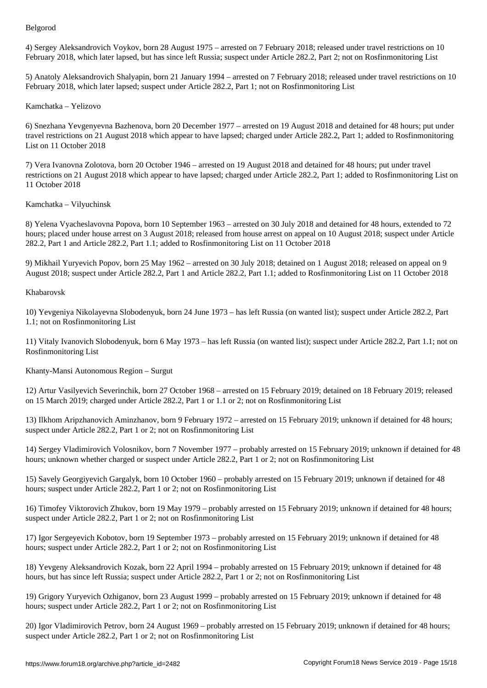4) Sergey Aleksandrovich Voykov, born 28 August 1975 – arrested on 7 February 2018; released under travel restrictions on 10 February 2018, which later lapsed, but has since left Russia; suspect under Article 282.2, Part 2; not on Rosfinmonitoring List

5) Anatoly Aleksandrovich Shalyapin, born 21 January 1994 – arrested on 7 February 2018; released under travel restrictions on 10 February 2018, which later lapsed; suspect under Article 282.2, Part 1; not on Rosfinmonitoring List

# Kamchatka – Yelizovo

6) Snezhana Yevgenyevna Bazhenova, born 20 December 1977 – arrested on 19 August 2018 and detained for 48 hours; put under travel restrictions on 21 August 2018 which appear to have lapsed; charged under Article 282.2, Part 1; added to Rosfinmonitoring List on 11 October 2018

7) Vera Ivanovna Zolotova, born 20 October 1946 – arrested on 19 August 2018 and detained for 48 hours; put under travel restrictions on 21 August 2018 which appear to have lapsed; charged under Article 282.2, Part 1; added to Rosfinmonitoring List on 11 October 2018

Kamchatka – Vilyuchinsk

8) Yelena Vyacheslavovna Popova, born 10 September 1963 – arrested on 30 July 2018 and detained for 48 hours, extended to 72 hours; placed under house arrest on 3 August 2018; released from house arrest on appeal on 10 August 2018; suspect under Article 282.2, Part 1 and Article 282.2, Part 1.1; added to Rosfinmonitoring List on 11 October 2018

9) Mikhail Yuryevich Popov, born 25 May 1962 – arrested on 30 July 2018; detained on 1 August 2018; released on appeal on 9 August 2018; suspect under Article 282.2, Part 1 and Article 282.2, Part 1.1; added to Rosfinmonitoring List on 11 October 2018

#### Khabarovsk

10) Yevgeniya Nikolayevna Slobodenyuk, born 24 June 1973 – has left Russia (on wanted list); suspect under Article 282.2, Part 1.1; not on Rosfinmonitoring List

11) Vitaly Ivanovich Slobodenyuk, born 6 May 1973 – has left Russia (on wanted list); suspect under Article 282.2, Part 1.1; not on Rosfinmonitoring List

Khanty-Mansi Autonomous Region – Surgut

12) Artur Vasilyevich Severinchik, born 27 October 1968 – arrested on 15 February 2019; detained on 18 February 2019; released on 15 March 2019; charged under Article 282.2, Part 1 or 1.1 or 2; not on Rosfinmonitoring List

13) Ilkhom Aripzhanovich Aminzhanov, born 9 February 1972 – arrested on 15 February 2019; unknown if detained for 48 hours; suspect under Article 282.2, Part 1 or 2; not on Rosfinmonitoring List

14) Sergey Vladimirovich Volosnikov, born 7 November 1977 – probably arrested on 15 February 2019; unknown if detained for 48 hours; unknown whether charged or suspect under Article 282.2, Part 1 or 2; not on Rosfinmonitoring List

15) Savely Georgiyevich Gargalyk, born 10 October 1960 – probably arrested on 15 February 2019; unknown if detained for 48 hours; suspect under Article 282.2, Part 1 or 2; not on Rosfinmonitoring List

16) Timofey Viktorovich Zhukov, born 19 May 1979 – probably arrested on 15 February 2019; unknown if detained for 48 hours; suspect under Article 282.2, Part 1 or 2; not on Rosfinmonitoring List

17) Igor Sergeyevich Kobotov, born 19 September 1973 – probably arrested on 15 February 2019; unknown if detained for 48 hours; suspect under Article 282.2, Part 1 or 2; not on Rosfinmonitoring List

18) Yevgeny Aleksandrovich Kozak, born 22 April 1994 – probably arrested on 15 February 2019; unknown if detained for 48 hours, but has since left Russia; suspect under Article 282.2, Part 1 or 2; not on Rosfinmonitoring List

19) Grigory Yuryevich Ozhiganov, born 23 August 1999 – probably arrested on 15 February 2019; unknown if detained for 48 hours; suspect under Article 282.2, Part 1 or 2; not on Rosfinmonitoring List

20) Igor Vladimirovich Petrov, born 24 August 1969 – probably arrested on 15 February 2019; unknown if detained for 48 hours; suspect under Article 282.2, Part 1 or 2; not on Rosfinmonitoring List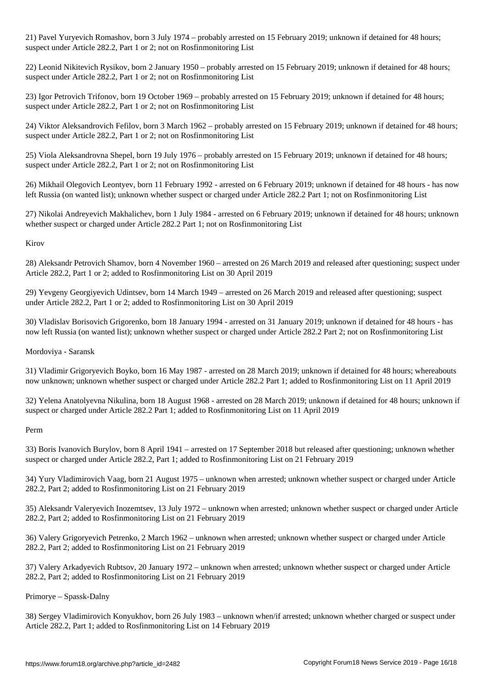21) Pavel Yuryevich Romashov, born 3 July 1974 – probably arrested on 15 February 2019; unknown if detained for 48 hours; suspect under Article 282.2, Part 1 or 2; not on Rosfinmonitoring List

22) Leonid Nikitevich Rysikov, born 2 January 1950 – probably arrested on 15 February 2019; unknown if detained for 48 hours; suspect under Article 282.2, Part 1 or 2; not on Rosfinmonitoring List

23) Igor Petrovich Trifonov, born 19 October 1969 – probably arrested on 15 February 2019; unknown if detained for 48 hours; suspect under Article 282.2, Part 1 or 2; not on Rosfinmonitoring List

24) Viktor Aleksandrovich Fefilov, born 3 March 1962 – probably arrested on 15 February 2019; unknown if detained for 48 hours; suspect under Article 282.2, Part 1 or 2; not on Rosfinmonitoring List

25) Viola Aleksandrovna Shepel, born 19 July 1976 – probably arrested on 15 February 2019; unknown if detained for 48 hours; suspect under Article 282.2, Part 1 or 2; not on Rosfinmonitoring List

26) Mikhail Olegovich Leontyev, born 11 February 1992 - arrested on 6 February 2019; unknown if detained for 48 hours - has now left Russia (on wanted list); unknown whether suspect or charged under Article 282.2 Part 1; not on Rosfinmonitoring List

27) Nikolai Andreyevich Makhalichev, born 1 July 1984 - arrested on 6 February 2019; unknown if detained for 48 hours; unknown whether suspect or charged under Article 282.2 Part 1; not on Rosfinmonitoring List

Kirov

28) Aleksandr Petrovich Shamov, born 4 November 1960 – arrested on 26 March 2019 and released after questioning; suspect under Article 282.2, Part 1 or 2; added to Rosfinmonitoring List on 30 April 2019

29) Yevgeny Georgiyevich Udintsev, born 14 March 1949 – arrested on 26 March 2019 and released after questioning; suspect under Article 282.2, Part 1 or 2; added to Rosfinmonitoring List on 30 April 2019

30) Vladislav Borisovich Grigorenko, born 18 January 1994 - arrested on 31 January 2019; unknown if detained for 48 hours - has now left Russia (on wanted list); unknown whether suspect or charged under Article 282.2 Part 2; not on Rosfinmonitoring List

Mordoviya - Saransk

31) Vladimir Grigoryevich Boyko, born 16 May 1987 - arrested on 28 March 2019; unknown if detained for 48 hours; whereabouts now unknown; unknown whether suspect or charged under Article 282.2 Part 1; added to Rosfinmonitoring List on 11 April 2019

32) Yelena Anatolyevna Nikulina, born 18 August 1968 - arrested on 28 March 2019; unknown if detained for 48 hours; unknown if suspect or charged under Article 282.2 Part 1; added to Rosfinmonitoring List on 11 April 2019

Perm

33) Boris Ivanovich Burylov, born 8 April 1941 – arrested on 17 September 2018 but released after questioning; unknown whether suspect or charged under Article 282.2, Part 1; added to Rosfinmonitoring List on 21 February 2019

34) Yury Vladimirovich Vaag, born 21 August 1975 – unknown when arrested; unknown whether suspect or charged under Article 282.2, Part 2; added to Rosfinmonitoring List on 21 February 2019

35) Aleksandr Valeryevich Inozemtsev, 13 July 1972 – unknown when arrested; unknown whether suspect or charged under Article 282.2, Part 2; added to Rosfinmonitoring List on 21 February 2019

36) Valery Grigoryevich Petrenko, 2 March 1962 – unknown when arrested; unknown whether suspect or charged under Article 282.2, Part 2; added to Rosfinmonitoring List on 21 February 2019

37) Valery Arkadyevich Rubtsov, 20 January 1972 – unknown when arrested; unknown whether suspect or charged under Article 282.2, Part 2; added to Rosfinmonitoring List on 21 February 2019

Primorye – Spassk-Dalny

38) Sergey Vladimirovich Konyukhov, born 26 July 1983 – unknown when/if arrested; unknown whether charged or suspect under Article 282.2, Part 1; added to Rosfinmonitoring List on 14 February 2019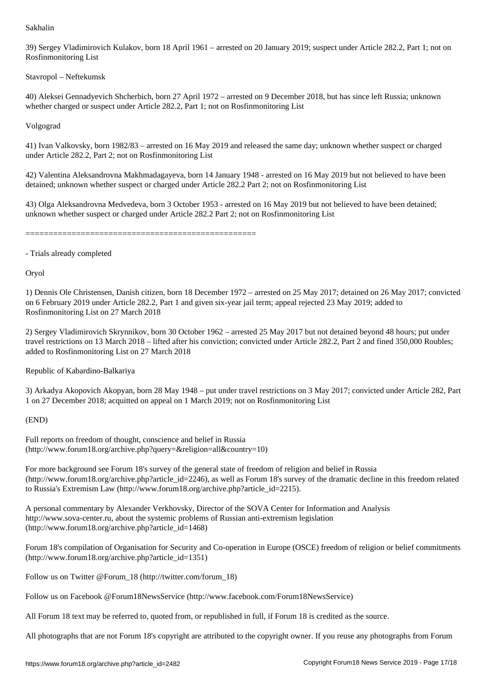39) Sergey Vladimirovich Kulakov, born 18 April 1961 – arrested on 20 January 2019; suspect under Article 282.2, Part 1; not on Rosfinmonitoring List

Stavropol – Neftekumsk

40) Aleksei Gennadyevich Shcherbich, born 27 April 1972 – arrested on 9 December 2018, but has since left Russia; unknown whether charged or suspect under Article 282.2, Part 1; not on Rosfinmonitoring List

Volgograd

41) Ivan Valkovsky, born 1982/83 – arrested on 16 May 2019 and released the same day; unknown whether suspect or charged under Article 282.2, Part 2; not on Rosfinmonitoring List

42) Valentina Aleksandrovna Makhmadagayeva, born 14 January 1948 - arrested on 16 May 2019 but not believed to have been detained; unknown whether suspect or charged under Article 282.2 Part 2; not on Rosfinmonitoring List

43) Olga Aleksandrovna Medvedeva, born 3 October 1953 - arrested on 16 May 2019 but not believed to have been detained; unknown whether suspect or charged under Article 282.2 Part 2; not on Rosfinmonitoring List

==================================================

- Trials already completed

Oryol

1) Dennis Ole Christensen, Danish citizen, born 18 December 1972 – arrested on 25 May 2017; detained on 26 May 2017; convicted on 6 February 2019 under Article 282.2, Part 1 and given six-year jail term; appeal rejected 23 May 2019; added to Rosfinmonitoring List on 27 March 2018

2) Sergey Vladimirovich Skrynnikov, born 30 October 1962 – arrested 25 May 2017 but not detained beyond 48 hours; put under travel restrictions on 13 March 2018 – lifted after his conviction; convicted under Article 282.2, Part 2 and fined 350,000 Roubles; added to Rosfinmonitoring List on 27 March 2018

Republic of Kabardino-Balkariya

3) Arkadya Akopovich Akopyan, born 28 May 1948 – put under travel restrictions on 3 May 2017; convicted under Article 282, Part 1 on 27 December 2018; acquitted on appeal on 1 March 2019; not on Rosfinmonitoring List

# (END)

Full reports on freedom of thought, conscience and belief in Russia (http://www.forum18.org/archive.php?query=&religion=all&country=10)

For more background see Forum 18's survey of the general state of freedom of religion and belief in Russia  $(\text{http://www.forum18.org/archive.php?article id=2246)}$ , as well as Forum 18's survey of the dramatic decline in this freedom related to Russia's Extremism Law (http://www.forum18.org/archive.php?article\_id=2215).

A personal commentary by Alexander Verkhovsky, Director of the SOVA Center for Information and Analysis http://www.sova-center.ru, about the systemic problems of Russian anti-extremism legislation (http://www.forum18.org/archive.php?article\_id=1468)

Forum 18's compilation of Organisation for Security and Co-operation in Europe (OSCE) freedom of religion or belief commitments (http://www.forum18.org/archive.php?article\_id=1351)

Follow us on Twitter @Forum\_18 (http://twitter.com/forum\_18)

Follow us on Facebook @Forum18NewsService (http://www.facebook.com/Forum18NewsService)

All Forum 18 text may be referred to, quoted from, or republished in full, if Forum 18 is credited as the source.

All photographs that are not Forum 18's copyright are attributed to the copyright owner. If you reuse any photographs from Forum